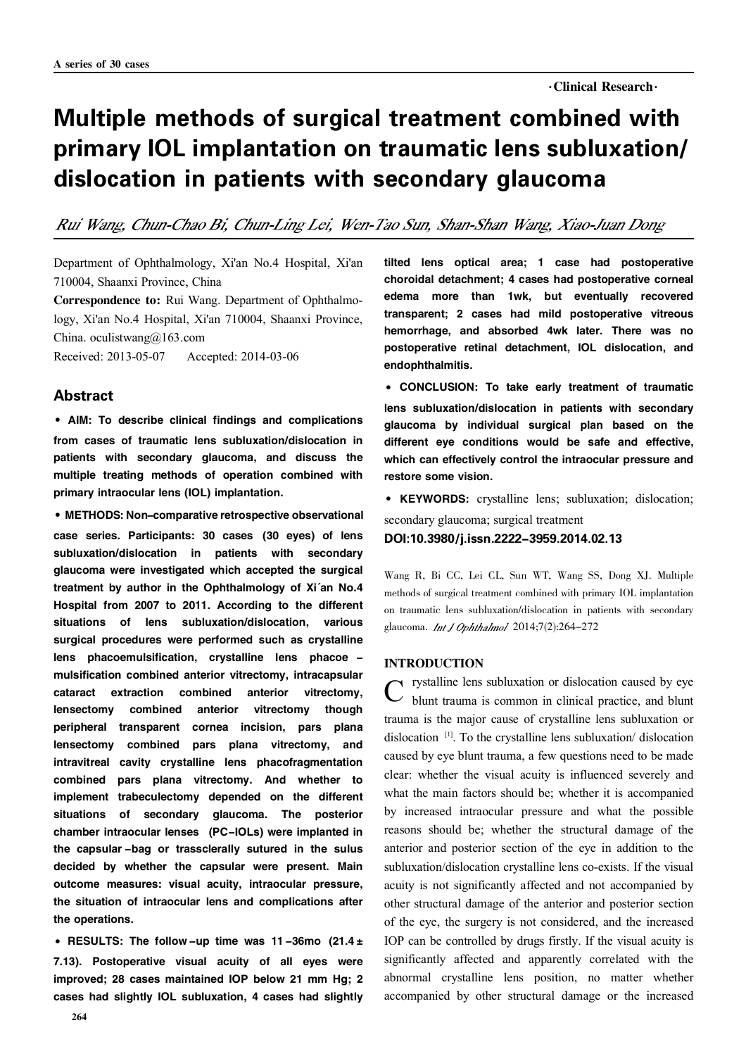# Multiple methods of surgical treatment combined with primary IOL implantation on traumatic lens subluxation/ dislocation in patients with secondary glaucoma

Rui Wang, Chun-Chao Bi, Chun-Ling Lei, Wen-Tao Sun, Shan-Shan Wang, Xiao-Juan Dong

Department of Ophthalmology, Xi'an No.4 Hospital, Xi'an 710004, Shaanxi Province, China

Correspondence to: Rui Wang. Department of Ophthalmology, Xi'an No.4 Hospital, Xi'an 710004, Shaanxi Province, China. oculistwang@163.com

Received: 2013-05-07 Accepted: 2014-03-06

#### **Abstract**

·AIM: To describe clinical findings and complications from cases of traumatic lens subluxation/dislocation in patients with secondary glaucoma, and discuss the multiple treating methods of operation combined with primary intraocular lens (IOL) implantation.

·METHODS: Non-comparative retrospective observational case series. Participants: 30 cases (30 eyes) of lens subluxation/dislocation in patients with secondary glaucoma were investigated which accepted the surgical treatment by author in the Ophthalmology of Xi'an No.4 Hospital from 2007 to 2011. According to the different situations of lens subluxation/dislocation, various surgical procedures were performed such as crystalline lens phacoemulsification, crystalline lens phacoe mulsification combined anterior vitrectomy, intracapsular cataract extraction combined anterior vitrectomy, lensectomy combined anterior vitrectomy though peripheral transparent cornea incision, pars plana lensectomy combined pars plana vitrectomy, and intravitreal cavity crystalline lens phacofragmentation combined pars plana vitrectomy. And whether to implement trabeculectomy depended on the different situations of secondary glaucoma. The posterior chamber intraocular lenses (PC-IOLs) were implanted in the capsular -bag or trassclerally sutured in the sulus decided by whether the capsular were present. Main outcome measures: visual acuity, intraocular pressure, the situation of intraocular lens and complications after the operations.

• RESULTS: The follow -up time was 11-36mo (21.4 $\pm$ 7.13). Postoperative visual acuity of all eyes were improved; 28 cases maintained IOP below 21 mm Hg; 2 cases had slightly IOL subluxation, 4 cases had slightly

tilted lens optical area; 1 case had postoperative choroidal detachment; 4 cases had postoperative corneal edema more than 1wk, but eventually recovered transparent; 2 cases had mild postoperative vitreous hemorrhage, and absorbed 4wk later. There was no postoperative retinal detachment, IOL dislocation, and endophthalmitis.

·CONCLUSION: To take early treatment of traumatic lens subluxation/dislocation in patients with secondary glaucoma by individual surgical plan based on the different eye conditions would be safe and effective, which can effectively control the intraocular pressure and restore some vision.

·KEYWORDS: crystalline lens; subluxation; dislocation;

secondary glaucoma; surgical treatment

DOI:10.3980/j.issn.2222-3959.2014.02.13

Wang R, Bi CC, Lei CL, Sun WT, Wang SS, Dong XJ. Multiple methods of surgical treatment combined with primary IOL implantation on traumatic lens subluxation/dislocation in patients with secondary glaucoma. *Int.1 Ophthalmol* 2014:7(2):264-272

#### INTRODUCTION

C rystalline lens subluxation or dislocation caused by eye blunt trauma is common in clinical practice, and blunt rystalline lens subluxation or dislocation caused by eye trauma is the major cause of crystalline lens subluxation or dislocation<sup>[1]</sup>. To the crystalline lens subluxation/dislocation caused by eye blunt trauma, a few questions need to be made clear: whether the visual acuity is influenced severely and what the main factors should be; whether it is accompanied by increased intraocular pressure and what the possible reasons should be; whether the structural damage of the anterior and posterior section of the eye in addition to the subluxation/dislocation crystalline lens co-exists. If the visual acuity is not significantly affected and not accompanied by other structural damage of the anterior and posterior section of the eye, the surgery is not considered, and the increased IOP can be controlled by drugs firstly. If the visual acuity is significantly affected and apparently correlated with the abnormal crystalline lens position, no matter whether accompanied by other structural damage or the increased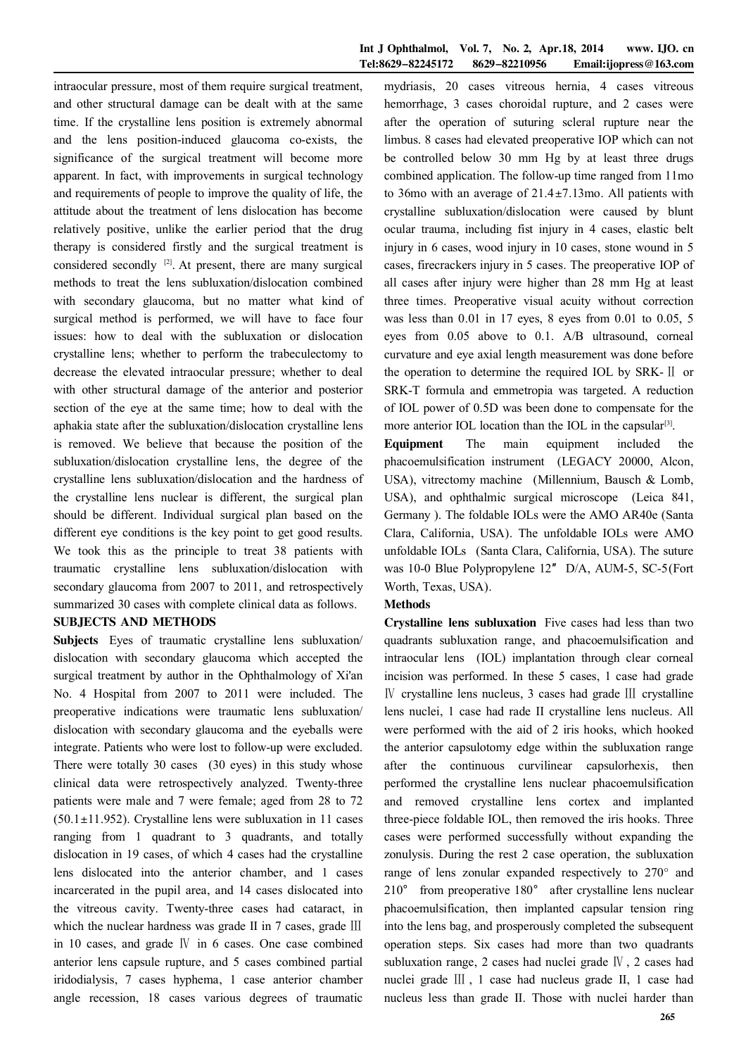intraocular pressure, most of them require surgical treatment, and other structural damage can be dealt with at the same time. If the crystalline lens position is extremely abnormal and the lens position-induced glaucoma co-exists, the significance of the surgical treatment will become more apparent. In fact, with improvements in surgical technology and requirements of people to improve the quality of life, the attitude about the treatment of lens dislocation has become relatively positive, unlike the earlier period that the drug therapy is considered firstly and the surgical treatment is considered secondly  $[2]$ . At present, there are many surgical methods to treat the lens subluxation/dislocation combined with secondary glaucoma, but no matter what kind of surgical method is performed, we will have to face four issues: how to deal with the subluxation or dislocation crystalline lens; whether to perform the trabeculectomy to decrease the elevated intraocular pressure; whether to deal with other structural damage of the anterior and posterior section of the eye at the same time; how to deal with the aphakia state after the subluxation/dislocation crystalline lens is removed. We believe that because the position of the subluxation/dislocation crystalline lens, the degree of the crystalline lens subluxation/dislocation and the hardness of the crystalline lens nuclear is different, the surgical plan should be different. Individual surgical plan based on the different eye conditions is the key point to get good results. We took this as the principle to treat 38 patients with traumatic crystalline lens subluxation/dislocation with secondary glaucoma from 2007 to 2011, and retrospectively summarized 30 cases with complete clinical data as follows.

#### SUBJECTS AND METHODS

Subjects Eyes of traumatic crystalline lens subluxation/ dislocation with secondary glaucoma which accepted the surgical treatment by author in the Ophthalmology of Xi'an No. 4 Hospital from 2007 to 2011 were included. The preoperative indications were traumatic lens subluxation/ dislocation with secondary glaucoma and the eyeballs were integrate. Patients who were lost to follow-up were excluded. There were totally 30 cases (30 eyes) in this study whose clinical data were retrospectively analyzed. Twenty-three patients were male and 7 were female; aged from 28 to 72  $(50.1 \pm 11.952)$ . Crystalline lens were subluxation in 11 cases ranging from 1 quadrant to 3 quadrants, and totally dislocation in 19 cases, of which 4 cases had the crystalline lens dislocated into the anterior chamber, and 1 cases incarcerated in the pupil area, and 14 cases dislocated into the vitreous cavity. Twenty-three cases had cataract, in which the nuclear hardness was grade II in 7 cases, grade III in 10 cases, and grade Ⅳ in 6 cases. One case combined anterior lens capsule rupture, and 5 cases combined partial iridodialysis, 7 cases hyphema, 1 case anterior chamber angle recession, 18 cases various degrees of traumatic

mydriasis, 20 cases vitreous hernia, 4 cases vitreous hemorrhage, 3 cases choroidal rupture, and 2 cases were after the operation of suturing scleral rupture near the limbus. 8 cases had elevated preoperative IOP which can not be controlled below 30 mm Hg by at least three drugs combined application. The follow-up time ranged from 11mo to 36mo with an average of  $21.4 \pm 7.13$  mo. All patients with crystalline subluxation/dislocation were caused by blunt ocular trauma, including fist injury in 4 cases, elastic belt injury in 6 cases, wood injury in 10 cases, stone wound in 5 cases, firecrackers injury in 5 cases. The preoperative IOP of all cases after injury were higher than 28 mm Hg at least three times. Preoperative visual acuity without correction was less than 0.01 in 17 eyes, 8 eyes from 0.01 to 0.05, 5 eyes from 0.05 above to 0.1. A/B ultrasound, corneal curvature and eye axial length measurement was done before the operation to determine the required IOL by SRK-Ⅱ or SRK-T formula and emmetropia was targeted. A reduction of IOL power of 0.5D was been done to compensate for the more anterior IOL location than the IOL in the capsular<sup>[3]</sup>.

Equipment The main equipment included the phacoemulsification instrument (LEGACY 20000, Alcon, USA), vitrectomy machine (Millennium, Bausch & Lomb, USA), and ophthalmic surgical microscope (Leica 841, Germany ). The foldable IOLs were the AMO AR40e (Santa Clara, California, USA). The unfoldable IOLs were AMO unfoldable IOLs (Santa Clara, California, USA). The suture was 10-0 Blue Polypropylene 12″ D/A, AUM-5, SC-5(Fort Worth, Texas, USA).

## Methods

Crystalline lens subluxation Five cases had less than two quadrants subluxation range, and phacoemulsification and intraocular lens (IOL) implantation through clear corneal incision was performed. In these 5 cases, 1 case had grade Ⅳ crystalline lens nucleus, 3 cases had grade Ⅲ crystalline lens nuclei, 1 case had rade II crystalline lens nucleus. All were performed with the aid of 2 iris hooks, which hooked the anterior capsulotomy edge within the subluxation range after the continuous curvilinear capsulorhexis, then performed the crystalline lens nuclear phacoemulsification and removed crystalline lens cortex and implanted three-piece foldable IOL, then removed the iris hooks. Three cases were performed successfully without expanding the zonulysis. During the rest 2 case operation, the subluxation range of lens zonular expanded respectively to  $270^{\circ}$  and 210° from preoperative 180° after crystalline lens nuclear phacoemulsification, then implanted capsular tension ring into the lens bag, and prosperously completed the subsequent operation steps. Six cases had more than two quadrants subluxation range, 2 cases had nuclei grade Ⅳ , 2 cases had nuclei grade Ⅲ , 1 case had nucleus grade II, 1 case had nucleus less than grade II. Those with nuclei harder than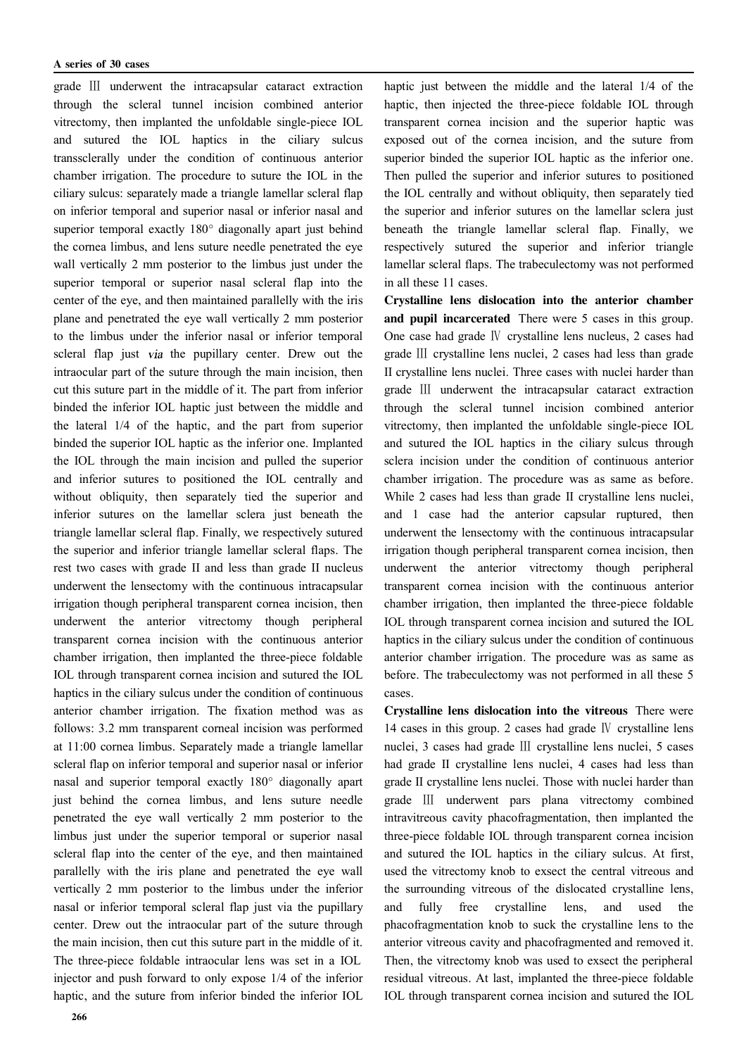grade Ⅲ underwent the intracapsular cataract extraction through the scleral tunnel incision combined anterior vitrectomy, then implanted the unfoldable single-piece IOL and sutured the IOL haptics in the ciliary sulcus transsclerally under the condition of continuous anterior chamber irrigation. The procedure to suture the IOL in the ciliary sulcus: separately made a triangle lamellar scleral flap on inferior temporal and superior nasal or inferior nasal and superior temporal exactly  $180^\circ$  diagonally apart just behind the cornea limbus, and lens suture needle penetrated the eye wall vertically 2 mm posterior to the limbus just under the superior temporal or superior nasal scleral flap into the center of the eye, and then maintained parallelly with the iris plane and penetrated the eye wall vertically 2 mm posterior to the limbus under the inferior nasal or inferior temporal scleral flap just *via* the pupillary center. Drew out the intraocular part of the suture through the main incision, then cut this suture part in the middle of it. The part from inferior binded the inferior IOL haptic just between the middle and the lateral 1/4 of the haptic, and the part from superior binded the superior IOL haptic as the inferior one. Implanted the IOL through the main incision and pulled the superior and inferior sutures to positioned the IOL centrally and without obliquity, then separately tied the superior and inferior sutures on the lamellar sclera just beneath the triangle lamellar scleral flap. Finally, we respectively sutured the superior and inferior triangle lamellar scleral flaps. The rest two cases with grade II and less than grade II nucleus underwent the lensectomy with the continuous intracapsular irrigation though peripheral transparent cornea incision, then underwent the anterior vitrectomy though peripheral transparent cornea incision with the continuous anterior chamber irrigation, then implanted the three-piece foldable IOL through transparent cornea incision and sutured the IOL haptics in the ciliary sulcus under the condition of continuous anterior chamber irrigation. The fixation method was as follows: 3.2 mm transparent corneal incision was performed at 11:00 cornea limbus. Separately made a triangle lamellar scleral flap on inferior temporal and superior nasal or inferior nasal and superior temporal exactly 180° diagonally apart just behind the cornea limbus, and lens suture needle penetrated the eye wall vertically 2 mm posterior to the limbus just under the superior temporal or superior nasal scleral flap into the center of the eye, and then maintained parallelly with the iris plane and penetrated the eye wall vertically 2 mm posterior to the limbus under the inferior nasal or inferior temporal scleral flap just via the pupillary center. Drew out the intraocular part of the suture through the main incision, then cut this suture part in the middle of it. The three-piece foldable intraocular lens was set in a IOL injector and push forward to only expose 1/4 of the inferior haptic, and the suture from inferior binded the inferior IOL

haptic just between the middle and the lateral 1/4 of the haptic, then injected the three-piece foldable IOL through transparent cornea incision and the superior haptic was exposed out of the cornea incision, and the suture from superior binded the superior IOL haptic as the inferior one. Then pulled the superior and inferior sutures to positioned the IOL centrally and without obliquity, then separately tied the superior and inferior sutures on the lamellar sclera just beneath the triangle lamellar scleral flap. Finally, we respectively sutured the superior and inferior triangle lamellar scleral flaps. The trabeculectomy was not performed in all these 11 cases.

Crystalline lens dislocation into the anterior chamber and pupil incarcerated There were 5 cases in this group. One case had grade Ⅳ crystalline lens nucleus, 2 cases had grade Ⅲ crystalline lens nuclei, 2 cases had less than grade II crystalline lens nuclei. Three cases with nuclei harder than grade Ⅲ underwent the intracapsular cataract extraction through the scleral tunnel incision combined anterior vitrectomy, then implanted the unfoldable single-piece IOL and sutured the IOL haptics in the ciliary sulcus through sclera incision under the condition of continuous anterior chamber irrigation. The procedure was as same as before. While 2 cases had less than grade II crystalline lens nuclei, and 1 case had the anterior capsular ruptured, then underwent the lensectomy with the continuous intracapsular irrigation though peripheral transparent cornea incision, then underwent the anterior vitrectomy though peripheral transparent cornea incision with the continuous anterior chamber irrigation, then implanted the three-piece foldable IOL through transparent cornea incision and sutured the IOL haptics in the ciliary sulcus under the condition of continuous anterior chamber irrigation. The procedure was as same as before. The trabeculectomy was not performed in all these 5 cases.

Crystalline lens dislocation into the vitreous There were 14 cases in this group. 2 cases had grade Ⅳ crystalline lens nuclei, 3 cases had grade Ⅲ crystalline lens nuclei, 5 cases had grade II crystalline lens nuclei, 4 cases had less than grade II crystalline lens nuclei. Those with nuclei harder than grade Ⅲ underwent pars plana vitrectomy combined intravitreous cavity phacofragmentation, then implanted the three-piece foldable IOL through transparent cornea incision and sutured the IOL haptics in the ciliary sulcus. At first, used the vitrectomy knob to exsect the central vitreous and the surrounding vitreous of the dislocated crystalline lens, and fully free crystalline lens, and used the phacofragmentation knob to suck the crystalline lens to the anterior vitreous cavity and phacofragmented and removed it. Then, the vitrectomy knob was used to exsect the peripheral residual vitreous. At last, implanted the three-piece foldable IOL through transparent cornea incision and sutured the IOL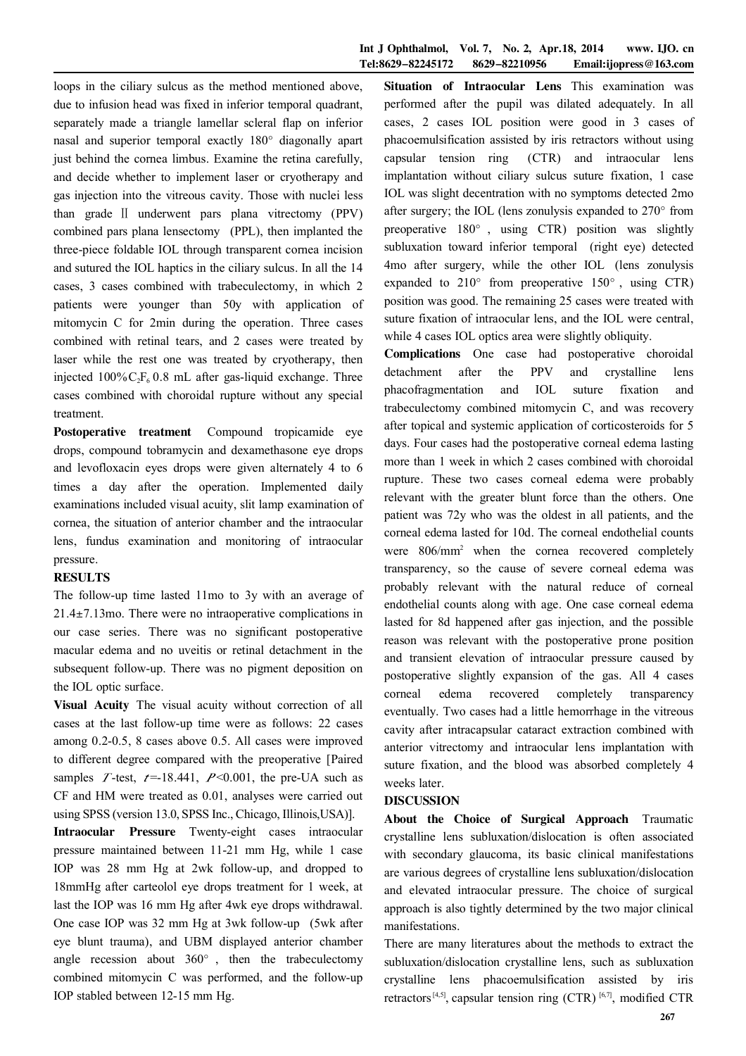loops in the ciliary sulcus as the method mentioned above, due to infusion head was fixed in inferior temporal quadrant, separately made a triangle lamellar scleral flap on inferior nasal and superior temporal exactly 180° diagonally apart just behind the cornea limbus. Examine the retina carefully, and decide whether to implement laser or cryotherapy and gas injection into the vitreous cavity. Those with nuclei less than grade Ⅱ underwent pars plana vitrectomy (PPV) combined pars plana lensectomy (PPL), then implanted the three-piece foldable IOL through transparent cornea incision and sutured the IOL haptics in the ciliary sulcus. In all the 14 cases, 3 cases combined with trabeculectomy, in which 2 patients were younger than 50y with application of mitomycin C for 2min during the operation. Three cases combined with retinal tears, and 2 cases were treated by laser while the rest one was treated by cryotherapy, then injected  $100\%C_2F_6$  0.8 mL after gas-liquid exchange. Three cases combined with choroidal rupture without any special treatment.

Postoperative treatment Compound tropicamide eye drops, compound tobramycin and dexamethasone eye drops and levofloxacin eyes drops were given alternately 4 to 6 times a day after the operation. Implemented daily examinations included visual acuity, slit lamp examination of cornea, the situation of anterior chamber and the intraocular lens, fundus examination and monitoring of intraocular pressure.

#### RESULTS

The follow-up time lasted 11mo to 3y with an average of  $21.4 \pm 7.13$  mo. There were no intraoperative complications in our case series. There was no significant postoperative macular edema and no uveitis or retinal detachment in the subsequent follow-up. There was no pigment deposition on the IOL optic surface.

Visual Acuity The visual acuity without correction of all cases at the last follow-up time were as follows: 22 cases among 0.2-0.5, 8 cases above 0.5. All cases were improved to different degree compared with the preoperative [Paired samples T-test,  $t=18.441$ ,  $P<0.001$ , the pre-UA such as CF and HM were treated as 0.01, analyses were carried out using SPSS (version 13.0, SPSS Inc., Chicago, Illinois,USA)].

Intraocular Pressure Twenty-eight cases intraocular pressure maintained between 11-21 mm Hg, while 1 case IOP was 28 mm Hg at 2wk follow-up, and dropped to 18mmHg after carteolol eye drops treatment for 1 week, at last the IOP was 16 mm Hg after 4wk eye drops withdrawal. One case IOP was 32 mm Hg at 3wk follow-up (5wk after eye blunt trauma), and UBM displayed anterior chamber angle recession about  $360^\circ$ , then the trabeculectomy combined mitomycin C was performed, and the follow-up IOP stabled between 12-15 mm Hg.

Situation of Intraocular Lens This examination was performed after the pupil was dilated adequately. In all cases, 2 cases IOL position were good in 3 cases of phacoemulsification assisted by iris retractors without using capsular tension ring (CTR) and intraocular lens implantation without ciliary sulcus suture fixation, 1 case IOL was slight decentration with no symptoms detected 2mo after surgery; the IOL (lens zonulysis expanded to  $270^{\circ}$  from preoperative  $180^\circ$ , using CTR) position was slightly subluxation toward inferior temporal (right eye) detected 4mo after surgery, while the other IOL (lens zonulysis expanded to  $210^{\circ}$  from preoperative  $150^{\circ}$ , using CTR) position was good. The remaining 25 cases were treated with suture fixation of intraocular lens, and the IOL were central, while 4 cases IOL optics area were slightly obliquity.

Complications One case had postoperative choroidal detachment after the PPV and crystalline lens phacofragmentation and IOL suture fixation and trabeculectomy combined mitomycin C, and was recovery after topical and systemic application of corticosteroids for 5 days. Four cases had the postoperative corneal edema lasting more than 1 week in which 2 cases combined with choroidal rupture. These two cases corneal edema were probably relevant with the greater blunt force than the others. One patient was 72y who was the oldest in all patients, and the corneal edema lasted for 10d. The corneal endothelial counts were  $806/mm^2$  when the cornea recovered completely transparency, so the cause of severe corneal edema was probably relevant with the natural reduce of corneal endothelial counts along with age. One case corneal edema lasted for 8d happened after gas injection, and the possible reason was relevant with the postoperative prone position and transient elevation of intraocular pressure caused by postoperative slightly expansion of the gas. All 4 cases corneal edema recovered completely transparency eventually. Two cases had a little hemorrhage in the vitreous cavity after intracapsular cataract extraction combined with anterior vitrectomy and intraocular lens implantation with suture fixation, and the blood was absorbed completely 4 weeks later.

#### DISCUSSION

About the Choice of Surgical Approach Traumatic crystalline lens subluxation/dislocation is often associated with secondary glaucoma, its basic clinical manifestations are various degrees of crystalline lens subluxation/dislocation and elevated intraocular pressure. The choice of surgical approach is also tightly determined by the two major clinical manifestations.

There are many literatures about the methods to extract the subluxation/dislocation crystalline lens, such as subluxation crystalline lens phacoemulsification assisted by iris retractors<sup>[4,5]</sup>, capsular tension ring (CTR)<sup>[6,7]</sup>, modified CTR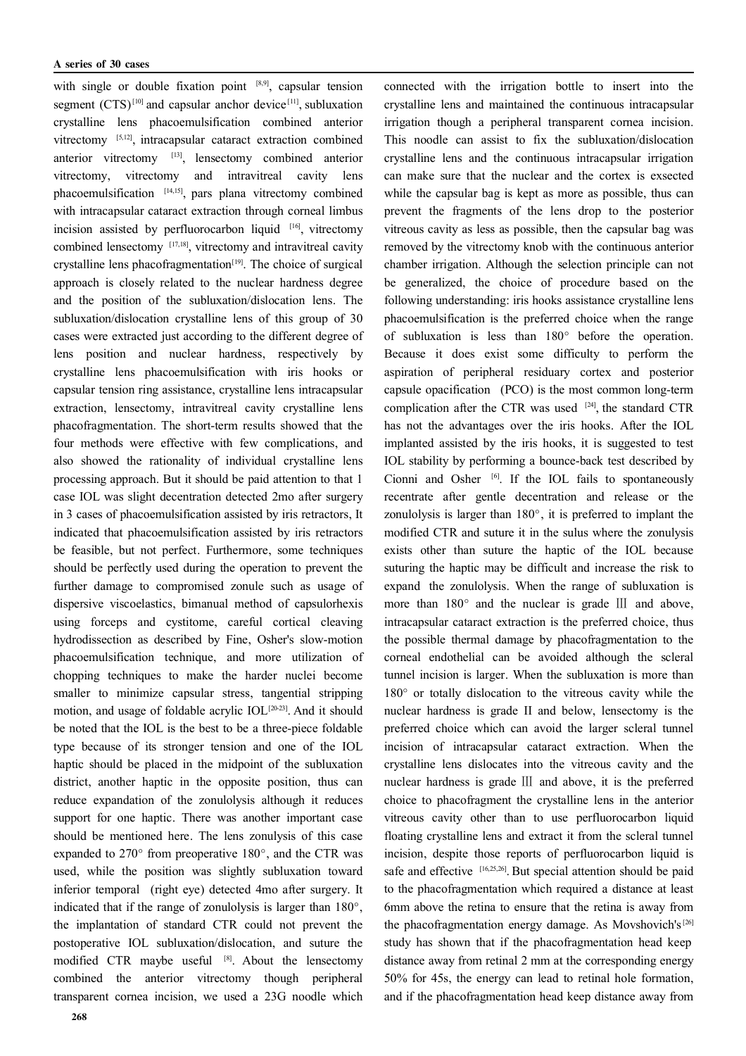with single or double fixation point  $[8,9]$ , capsular tension segment  $(CTS)^{[10]}$  and capsular anchor device<sup>[11]</sup>, subluxation crystalline lens phacoemulsification combined anterior vitrectomy [5,12], intracapsular cataract extraction combined anterior vitrectomy [13] , lensectomy combined anterior vitrectomy, vitrectomy and intravitreal cavity lens phacoemulsification [14,15], pars plana vitrectomy combined with intracapsular cataract extraction through corneal limbus incision assisted by perfluorocarbon liquid  $[16]$ , vitrectomy combined lensectomy [17,18] , vitrectomy and intravitreal cavity crystalline lens phacofragmentation $[19]$ . The choice of surgical approach is closely related to the nuclear hardness degree and the position of the subluxation/dislocation lens. The subluxation/dislocation crystalline lens of this group of 30 cases were extracted just according to the different degree of lens position and nuclear hardness, respectively by crystalline lens phacoemulsification with iris hooks or capsular tension ring assistance, crystalline lens intracapsular extraction, lensectomy, intravitreal cavity crystalline lens phacofragmentation. The short-term results showed that the four methods were effective with few complications, and also showed the rationality of individual crystalline lens processing approach. But it should be paid attention to that 1 case IOL was slight decentration detected 2mo after surgery in 3 cases of phacoemulsification assisted by iris retractors, It indicated that phacoemulsification assisted by iris retractors be feasible, but not perfect. Furthermore, some techniques should be perfectly used during the operation to prevent the further damage to compromised zonule such as usage of dispersive viscoelastics, bimanual method of capsulorhexis using forceps and cystitome, careful cortical cleaving hydrodissection as described by Fine, Osher's slow-motion phacoemulsification technique, and more utilization of chopping techniques to make the harder nuclei become smaller to minimize capsular stress, tangential stripping motion, and usage of foldable acrylic IOL<sup>[20-23]</sup>. And it should be noted that the IOL is the best to be a three-piece foldable type because of its stronger tension and one of the IOL haptic should be placed in the midpoint of the subluxation district, another haptic in the opposite position, thus can reduce expandation of the zonulolysis although it reduces support for one haptic. There was another important case should be mentioned here. The lens zonulysis of this case expanded to  $270^{\circ}$  from preoperative 180 $^{\circ}$ , and the CTR was used, while the position was slightly subluxation toward inferior temporal (right eye) detected 4mo after surgery. It indicated that if the range of zonulolysis is larger than  $180^\circ$ , the implantation of standard CTR could not prevent the postoperative IOL subluxation/dislocation, and suture the modified CTR maybe useful [8]. About the lensectomy combined the anterior vitrectomy though peripheral transparent cornea incision, we used a 23G noodle which

connected with the irrigation bottle to insert into the crystalline lens and maintained the continuous intracapsular irrigation though a peripheral transparent cornea incision. This noodle can assist to fix the subluxation/dislocation crystalline lens and the continuous intracapsular irrigation can make sure that the nuclear and the cortex is exsected while the capsular bag is kept as more as possible, thus can prevent the fragments of the lens drop to the posterior vitreous cavity as less as possible, then the capsular bag was removed by the vitrectomy knob with the continuous anterior chamber irrigation. Although the selection principle can not be generalized, the choice of procedure based on the following understanding: iris hooks assistance crystalline lens phacoemulsification is the preferred choice when the range of subluxation is less than  $180^\circ$  before the operation. Because it does exist some difficulty to perform the aspiration of peripheral residuary cortex and posterior capsule opacification (PCO) is the most common long-term complication after the CTR was used  $[24]$ , the standard CTR has not the advantages over the iris hooks. After the IOL implanted assisted by the iris hooks, it is suggested to test IOL stability by performing a bounce-back test described by Cionni and Osher  $\left[6\right]$ . If the IOL fails to spontaneously recentrate after gentle decentration and release or the zonulolysis is larger than  $180^\circ$ , it is preferred to implant the modified CTR and suture it in the sulus where the zonulysis exists other than suture the haptic of the IOL because suturing the haptic may be difficult and increase the risk to expand the zonulolysis. When the range of subluxation is more than  $180^\circ$  and the nuclear is grade III and above, intracapsular cataract extraction is the preferred choice, thus the possible thermal damage by phacofragmentation to the corneal endothelial can be avoided although the scleral tunnel incision is larger. When the subluxation is more than  $180^\circ$  or totally dislocation to the vitreous cavity while the nuclear hardness is grade II and below, lensectomy is the preferred choice which can avoid the larger scleral tunnel incision of intracapsular cataract extraction. When the crystalline lens dislocates into the vitreous cavity and the nuclear hardness is grade Ⅲ and above, it is the preferred choice to phacofragment the crystalline lens in the anterior vitreous cavity other than to use perfluorocarbon liquid floating crystalline lens and extract it from the scleral tunnel incision, despite those reports of perfluorocarbon liquid is safe and effective  $[16,25,26]$ . But special attention should be paid to the phacofragmentation which required a distance at least 6mm above the retina to ensure that the retina is away from the phacofragmentation energy damage. As Movshovich's<sup>[26]</sup> study has shown that if the phacofragmentation head keep distance away from retinal 2 mm at the corresponding energy 50% for 45s, the energy can lead to retinal hole formation, and if the phacofragmentation head keep distance away from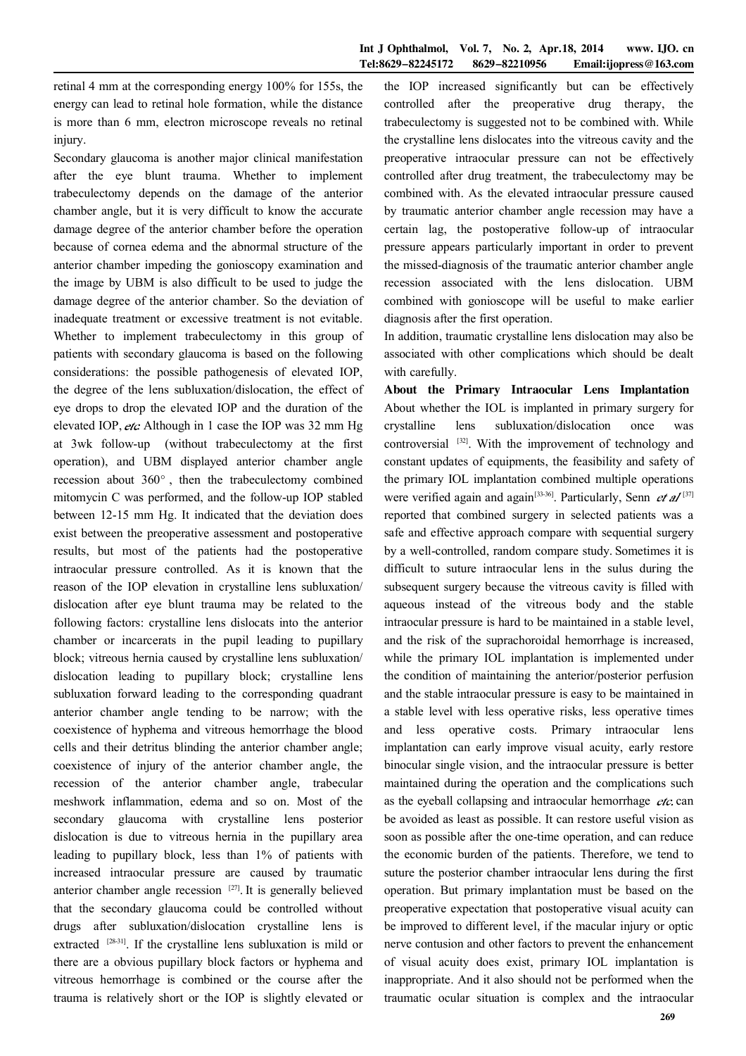retinal 4 mm at the corresponding energy 100% for 155s, the energy can lead to retinal hole formation, while the distance is more than 6 mm, electron microscope reveals no retinal injury.

Secondary glaucoma is another major clinical manifestation after the eye blunt trauma. Whether to implement trabeculectomy depends on the damage of the anterior chamber angle, but it is very difficult to know the accurate damage degree of the anterior chamber before the operation because of cornea edema and the abnormal structure of the anterior chamber impeding the gonioscopy examination and the image by UBM is also difficult to be used to judge the damage degree of the anterior chamber. So the deviation of inadequate treatment or excessive treatment is not evitable. Whether to implement trabeculectomy in this group of patients with secondary glaucoma is based on the following considerations: the possible pathogenesis of elevated IOP, the degree of the lens subluxation/dislocation, the effect of eye drops to drop the elevated IOP and the duration of the elevated IOP,  $etc.$  Although in 1 case the IOP was 32 mm Hg at 3wk follow-up (without trabeculectomy at the first operation), and UBM displayed anterior chamber angle recession about  $360^\circ$ , then the trabeculectomy combined mitomycin C was performed, and the follow-up IOP stabled between 12-15 mm Hg. It indicated that the deviation does exist between the preoperative assessment and postoperative results, but most of the patients had the postoperative intraocular pressure controlled. As it is known that the reason of the IOP elevation in crystalline lens subluxation/ dislocation after eye blunt trauma may be related to the following factors: crystalline lens dislocats into the anterior chamber or incarcerats in the pupil leading to pupillary block; vitreous hernia caused by crystalline lens subluxation/ dislocation leading to pupillary block; crystalline lens subluxation forward leading to the corresponding quadrant anterior chamber angle tending to be narrow; with the coexistence of hyphema and vitreous hemorrhage the blood cells and their detritus blinding the anterior chamber angle; coexistence of injury of the anterior chamber angle, the recession of the anterior chamber angle, trabecular meshwork inflammation, edema and so on. Most of the secondary glaucoma with crystalline lens posterior dislocation is due to vitreous hernia in the pupillary area leading to pupillary block, less than 1% of patients with increased intraocular pressure are caused by traumatic anterior chamber angle recession  $[27]$ . It is generally believed that the secondary glaucoma could be controlled without drugs after subluxation/dislocation crystalline lens is extracted <sup>[28-31]</sup>. If the crystalline lens subluxation is mild or there are a obvious pupillary block factors or hyphema and vitreous hemorrhage is combined or the course after the trauma is relatively short or the IOP is slightly elevated or

the IOP increased significantly but can be effectively controlled after the preoperative drug therapy, the trabeculectomy is suggested not to be combined with. While the crystalline lens dislocates into the vitreous cavity and the preoperative intraocular pressure can not be effectively controlled after drug treatment, the trabeculectomy may be combined with. As the elevated intraocular pressure caused by traumatic anterior chamber angle recession may have a certain lag, the postoperative follow-up of intraocular pressure appears particularly important in order to prevent the missed-diagnosis of the traumatic anterior chamber angle recession associated with the lens dislocation. UBM combined with gonioscope will be useful to make earlier diagnosis after the first operation.

In addition, traumatic crystalline lens dislocation may also be associated with other complications which should be dealt with carefully.

About the Primary Intraocular Lens Implantation About whether the IOL is implanted in primary surgery for crystalline lens subluxation/dislocation once was controversial <sup>[32]</sup>. With the improvement of technology and constant updates of equipments, the feasibility and safety of the primary IOL implantation combined multiple operations were verified again and again<sup>[33-36]</sup>. Particularly, Senn *et al*<sup>[37]</sup> reported that combined surgery in selected patients was a safe and effective approach compare with sequential surgery by a well-controlled, random compare study. Sometimes it is difficult to suture intraocular lens in the sulus during the subsequent surgery because the vitreous cavity is filled with aqueous instead of the vitreous body and the stable intraocular pressure is hard to be maintained in a stable level, and the risk of the suprachoroidal hemorrhage is increased, while the primary IOL implantation is implemented under the condition of maintaining the anterior/posterior perfusion and the stable intraocular pressure is easy to be maintained in a stable level with less operative risks, less operative times and less operative costs. Primary intraocular lens implantation can early improve visual acuity, early restore binocular single vision, and the intraocular pressure is better maintained during the operation and the complications such as the eyeball collapsing and intraocular hemorrhage  $etc.$  can be avoided as least as possible. It can restore useful vision as soon as possible after the one-time operation, and can reduce the economic burden of the patients. Therefore, we tend to suture the posterior chamber intraocular lens during the first operation. But primary implantation must be based on the preoperative expectation that postoperative visual acuity can be improved to different level, if the macular injury or optic nerve contusion and other factors to prevent the enhancement of visual acuity does exist, primary IOL implantation is inappropriate. And it also should not be performed when the traumatic ocular situation is complex and the intraocular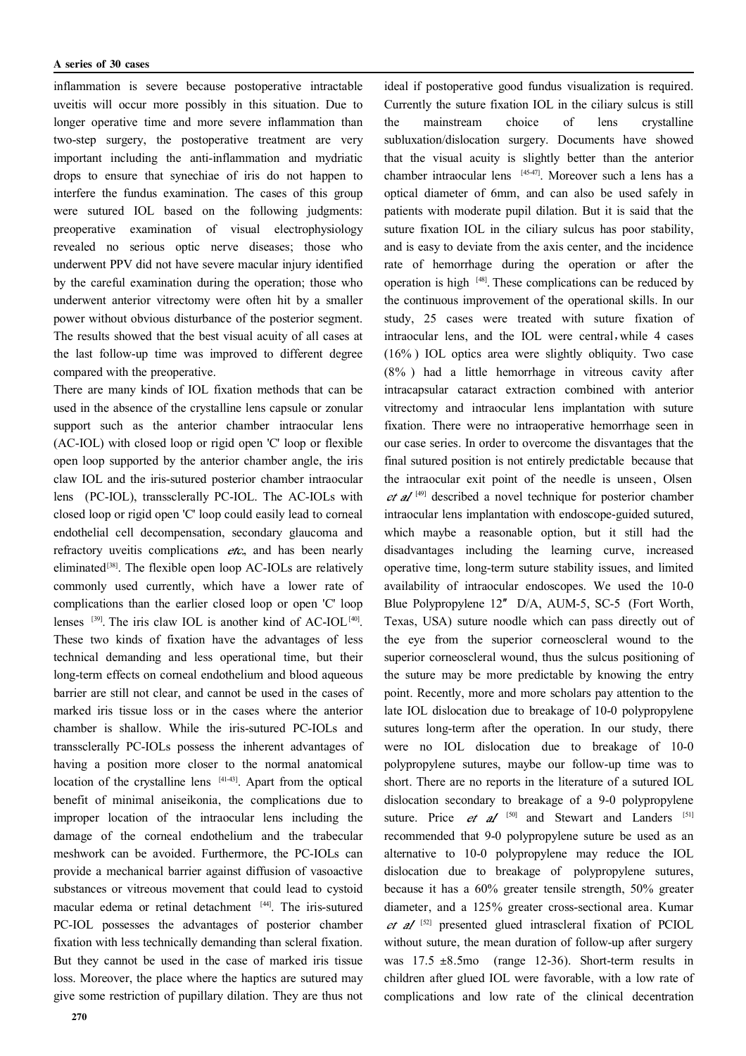inflammation is severe because postoperative intractable uveitis will occur more possibly in this situation. Due to longer operative time and more severe inflammation than two-step surgery, the postoperative treatment are very important including the anti-inflammation and mydriatic drops to ensure that synechiae of iris do not happen to interfere the fundus examination. The cases of this group were sutured IOL based on the following judgments: preoperative examination of visual electrophysiology revealed no serious optic nerve diseases; those who underwent PPV did not have severe macular injury identified by the careful examination during the operation; those who underwent anterior vitrectomy were often hit by a smaller power without obvious disturbance of the posterior segment. The results showed that the best visual acuity of all cases at the last follow-up time was improved to different degree compared with the preoperative.

There are many kinds of IOL fixation methods that can be used in the absence of the crystalline lens capsule or zonular support such as the anterior chamber intraocular lens (AC-IOL) with closed loop or rigid open 'C' loop or flexible open loop supported by the anterior chamber angle, the iris claw IOL and the iris-sutured posterior chamber intraocular lens (PC-IOL), transsclerally PC-IOL. The AC-IOLs with closed loop or rigid open 'C' loop could easily lead to corneal endothelial cell decompensation, secondary glaucoma and refractory uveitis complications  $etc.,$  and has been nearly eliminated<sup>[38]</sup>. The flexible open loop AC-IOLs are relatively commonly used currently, which have a lower rate of complications than the earlier closed loop or open 'C' loop lenses  $^{[39]}$ . The iris claw IOL is another kind of AC-IOL<sup>[40]</sup>. These two kinds of fixation have the advantages of less technical demanding and less operational time, but their long-term effects on corneal endothelium and blood aqueous barrier are still not clear, and cannot be used in the cases of marked iris tissue loss or in the cases where the anterior chamber is shallow. While the iris-sutured PC-IOLs and transsclerally PC-IOLs possess the inherent advantages of having a position more closer to the normal anatomical location of the crystalline lens [41-43]. Apart from the optical benefit of minimal aniseikonia, the complications due to improper location of the intraocular lens including the damage of the corneal endothelium and the trabecular meshwork can be avoided. Furthermore, the PC-IOLs can provide a mechanical barrier against diffusion of vasoactive substances or vitreous movement that could lead to cystoid macular edema or retinal detachment [44] . The iris-sutured PC-IOL possesses the advantages of posterior chamber fixation with less technically demanding than scleral fixation. But they cannot be used in the case of marked iris tissue loss. Moreover, the place where the haptics are sutured may give some restriction of pupillary dilation. They are thus not

that the visual acuity is slightly better than the anterior chamber intraocular lens [45-47] . Moreover such a lens has a optical diameter of 6mm, and can also be used safely in patients with moderate pupil dilation. But it is said that the suture fixation IOL in the ciliary sulcus has poor stability, and is easy to deviate from the axis center, and the incidence rate of hemorrhage during the operation or after the operation is high [48]. These complications can be reduced by the continuous improvement of the operational skills. In our study, 25 cases were treated with suture fixation of intraocular lens, and the IOL were central,while 4 cases (16% ) IOL optics area were slightly obliquity. Two case (8% ) had a little hemorrhage in vitreous cavity after intracapsular cataract extraction combined with anterior vitrectomy and intraocular lens implantation with suture fixation. There were no intraoperative hemorrhage seen in our case series. In order to overcome the disvantages that the final sutured position is not entirely predictable because that the intraocular exit point of the needle is unseen, Olsen  $et$  al<sup>[49]</sup> described a novel technique for posterior chamber intraocular lens implantation with endoscope-guided sutured, which maybe a reasonable option, but it still had the disadvantages including the learning curve, increased operative time, long-term suture stability issues, and limited availability of intraocular endoscopes. We used the 10-0 Blue Polypropylene 12″ D/A, AUM-5, SC-5 (Fort Worth, Texas, USA) suture noodle which can pass directly out of the eye from the superior corneoscleral wound to the superior corneoscleral wound, thus the sulcus positioning of the suture may be more predictable by knowing the entry point. Recently, more and more scholars pay attention to the late IOL dislocation due to breakage of 10-0 polypropylene sutures long-term after the operation. In our study, there were no IOL dislocation due to breakage of 10-0 polypropylene sutures, maybe our follow-up time was to short. There are no reports in the literature of a sutured IOL dislocation secondary to breakage of a 9-0 polypropylene suture. Price  $et$   $al$  <sup>[50]</sup> and Stewart and Landers <sup>[51]</sup> recommended that 9-0 polypropylene suture be used as an alternative to 10-0 polypropylene may reduce the IOL dislocation due to breakage of polypropylene sutures, because it has a 60% greater tensile strength, 50% greater diameter, and a 125% greater cross-sectional area. Kumar  $et$  al  $[52]$  presented glued intrascleral fixation of PCIOL without suture, the mean duration of follow-up after surgery was  $17.5 \pm 8.5$  mo (range 12-36). Short-term results in children after glued IOL were favorable, with a low rate of complications and low rate of the clinical decentration

ideal if postoperative good fundus visualization is required. Currently the suture fixation IOL in the ciliary sulcus is still the mainstream choice of lens crystalline subluxation/dislocation surgery. Documents have showed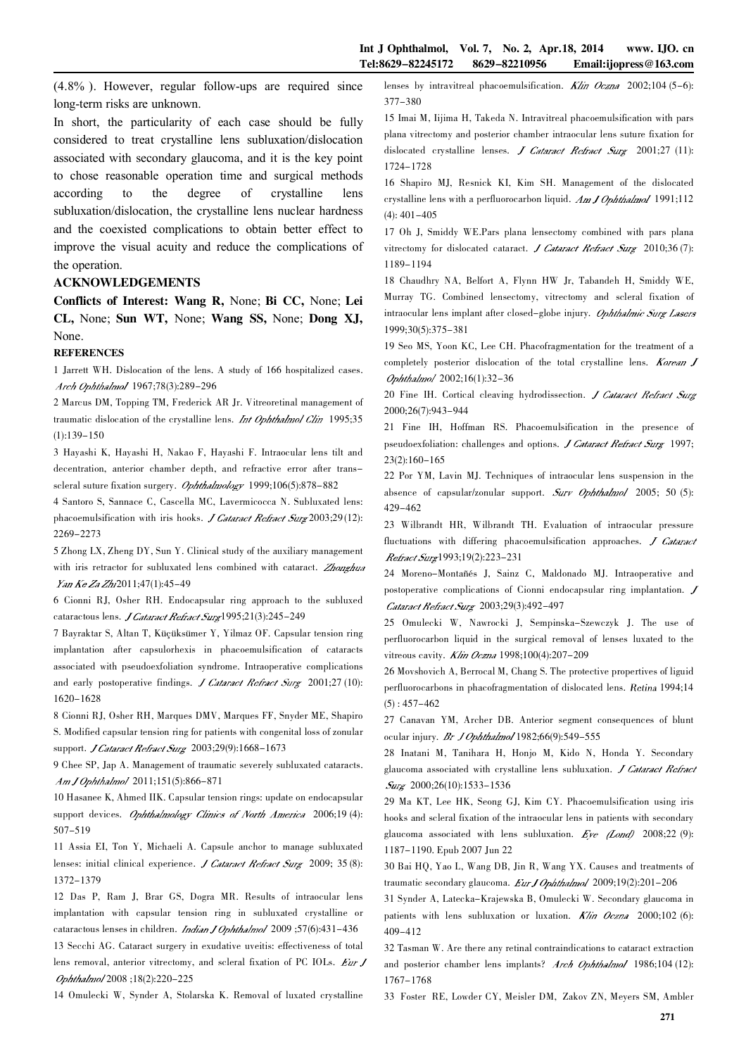(4.8% ). However, regular follow-ups are required since long-term risks are unknown.

In short, the particularity of each case should be fully considered to treat crystalline lens subluxation/dislocation associated with secondary glaucoma, and it is the key point to chose reasonable operation time and surgical methods according to the degree of crystalline lens subluxation/dislocation, the crystalline lens nuclear hardness and the coexisted complications to obtain better effect to improve the visual acuity and reduce the complications of the operation.

#### ACKNOWLEDGEMENTS

Conflicts of Interest: Wang R, None; Bi CC, None; Lei CL, None; Sun WT, None; Wang SS, None; Dong XJ, None.

#### **REFERENCES**

1 Jarrett WH. Dislocation of the lens. A study of 166 hospitalized cases. Arch Ophthalmol 1967;78(3):289-296

2 Marcus DM, Topping TM, Frederick AR Jr. Vitreoretinal management of traumatic dislocation of the crystalline lens. Int Ophthalmol Clin 1995;35  $(1):139-150$ 

3 Hayashi K, Hayashi H, Nakao F, Hayashi F. Intraocular lens tilt and decentration, anterior chamber depth, and refractive error after transscleral suture fixation surgery. Ophthalmology 1999;106(5):878-882

4 Santoro S, Sannace C, Cascella MC, Lavermicocca N. Subluxated lens: phacoemulsification with iris hooks. *J Cataract Refract Surg* 2003;29(12): 2269-2273

5 Zhong LX, Zheng DY, Sun Y. Clinical study of the auxiliary management with iris retractor for subluxated lens combined with cataract. Zhonghua Yan Ke Za Zhi 2011;47(1):45-49

6 Cionni RJ, Osher RH. Endocapsular ring approach to the subluxed cataractous lens. *J Cataract Refract Surg*1995;21(3):245-249

7 Bayraktar S, Altan T, Küçüksümer Y, Yilmaz OF. Capsular tension ring implantation after capsulorhexis in phacoemulsification of cataracts associated with pseudoexfoliation syndrome. Intraoperative complications and early postoperative findings. *J Cataract Refract Surg*  $2001;27(10)$ : 1620-1628

8 Cionni RJ, Osher RH, Marques DMV, Marques FF, Snyder ME, Shapiro S. Modified capsular tension ring for patients with congenital loss of zonular support. *J Cataract Refract Surg* 2003;29(9):1668-1673

9 Chee SP, Jap A. Management of traumatic severely subluxated cataracts. Am J Ophthalmol 2011;151(5):866-871

10 Hasanee K, Ahmed IIK. Capsular tension rings: update on endocapsular support devices. Ophthalmology Clinics of North America 2006;19 (4): 507-519

11 Assia EI, Ton Y, Michaeli A. Capsule anchor to manage subluxated lenses: initial clinical experience. *J Cataract Refract Surg* 2009; 35 (8): 1372-1379

12 Das P, Ram J, Brar GS, Dogra MR. Results of intraocular lens implantation with capsular tension ring in subluxated crystalline or cataractous lenses in children. *Indian J Ophthalmol* 2009 ;57(6):431-436

13 Secchi AG. Cataract surgery in exudative uveitis: effectiveness of total lens removal, anterior vitrectomy, and scleral fixation of PC IOLs. Eur J Ophthalmol 2008 ;18(2):220-225

14 Omulecki W, Synder A, Stolarska K. Removal of luxated crystalline

lenses by intravitreal phacoemulsification.  $K\!I\!i\!n$  Oczna 2002;104 (5-6): 377-380

15 Imai M, Iijima H, Takeda N. Intravitreal phacoemulsification with pars plana vitrectomy and posterior chamber intraocular lens suture fixation for dislocated crystalline lenses. J Cataract Refract Surg 2001;27 (11): 1724-1728

16 Shapiro MJ, Resnick KI, Kim SH. Management of the dislocated crystalline lens with a perfluorocarbon liquid. Am J Ophthalmol 1991;112  $(4): 401 - 405$ 

17 Oh J, Smiddy WE.Pars plana lensectomy combined with pars plana vitrectomy for dislocated cataract. J Cataract Refract Surg  $2010;36(7)$ : 1189-1194

18 Chaudhry NA, Belfort A, Flynn HW Jr, Tabandeh H, Smiddy WE, Murray TG. Combined lensectomy, vitrectomy and scleral fixation of intraocular lens implant after closed-globe injury. Ophthalmic Surg Lasces 1999;30(5):375-381

19 Seo MS, Yoon KC, Lee CH. Phacofragmentation for the treatment of a completely posterior dislocation of the total crystalline lens. Korean J Ophthalmol 2002;16(1):32-36

20 Fine IH. Cortical cleaving hydrodissection. *J Cataract Refract Surg* 2000;26(7):943-944

21 Fine IH, Hoffman RS. Phacoemulsification in the presence of pseudoexfoliation: challenges and options. J Cataract Refract Surg 1997; 23(2):160-165

22 Por YM, Lavin MJ. Techniques of intraocular lens suspension in the absence of capsular/zonular support. Surv Ophthalmol 2005; 50 (5): 429-462

23 Wilbrandt HR, Wilbrandt TH. Evaluation of intraocular pressure fluctuations with differing phacoemulsification approaches.  $J$  Cataract Refract Surg1993;19(2):223-231

24 Moreno-Montañés J, Sainz C, Maldonado MJ. Intraoperative and postoperative complications of Cionni endocapsular ring implantation. Cataract Refract Surg 2003;29(3):492-497

25 Omulecki W, Nawrocki J, Sempinska-Szewczyk J. The use of perfluorocarbon liquid in the surgical removal of lenses luxated to the vitreous cavity. Klin Oczna 1998;100(4):207-209

26 Movshovich A, Berrocal M, Chang S. The protective propertives of liguid perfluorocarbons in phacofragmentation of dislocated lens. Retina 1994;14  $(5) : 457 - 462$ 

27 Canavan YM, Archer DB. Anterior segment consequences of blunt ocular injury.  $Br$  10phthalmol 1982;66(9):549-555

28 Inatani M, Tanihara H, Honjo M, Kido N, Honda Y. Secondary glaucoma associated with crystalline lens subluxation. *J Cataract Refract* Surg 2000;26(10):1533-1536

29 Ma KT, Lee HK, Seong GJ, Kim CY. Phacoemulsification using iris hooks and scleral fixation of the intraocular lens in patients with secondary glaucoma associated with lens subluxation.  $Eve$  (Lond) 2008;22 (9): 1187-1190. Epub 2007 Jun 22

30 Bai HQ, Yao L, Wang DB, Jin R, Wang YX. Causes and treatments of traumatic secondary glaucoma. *Eur J Ophthalmol* 2009;19(2):201-206

31 Synder A, Latecka-Krajewska B, Omulecki W. Secondary glaucoma in patients with lens subluxation or luxation.  $K/\gamma$  Ocena 2000;102 (6): 409-412

32 Tasman W. Are there any retinal contraindications to cataract extraction and posterior chamber lens implants? Arch Ophthalmol 1986;104 (12): 1767-1768

33 Foster RE, Lowder CY, Meisler DM, Zakov ZN, Meyers SM, Ambler